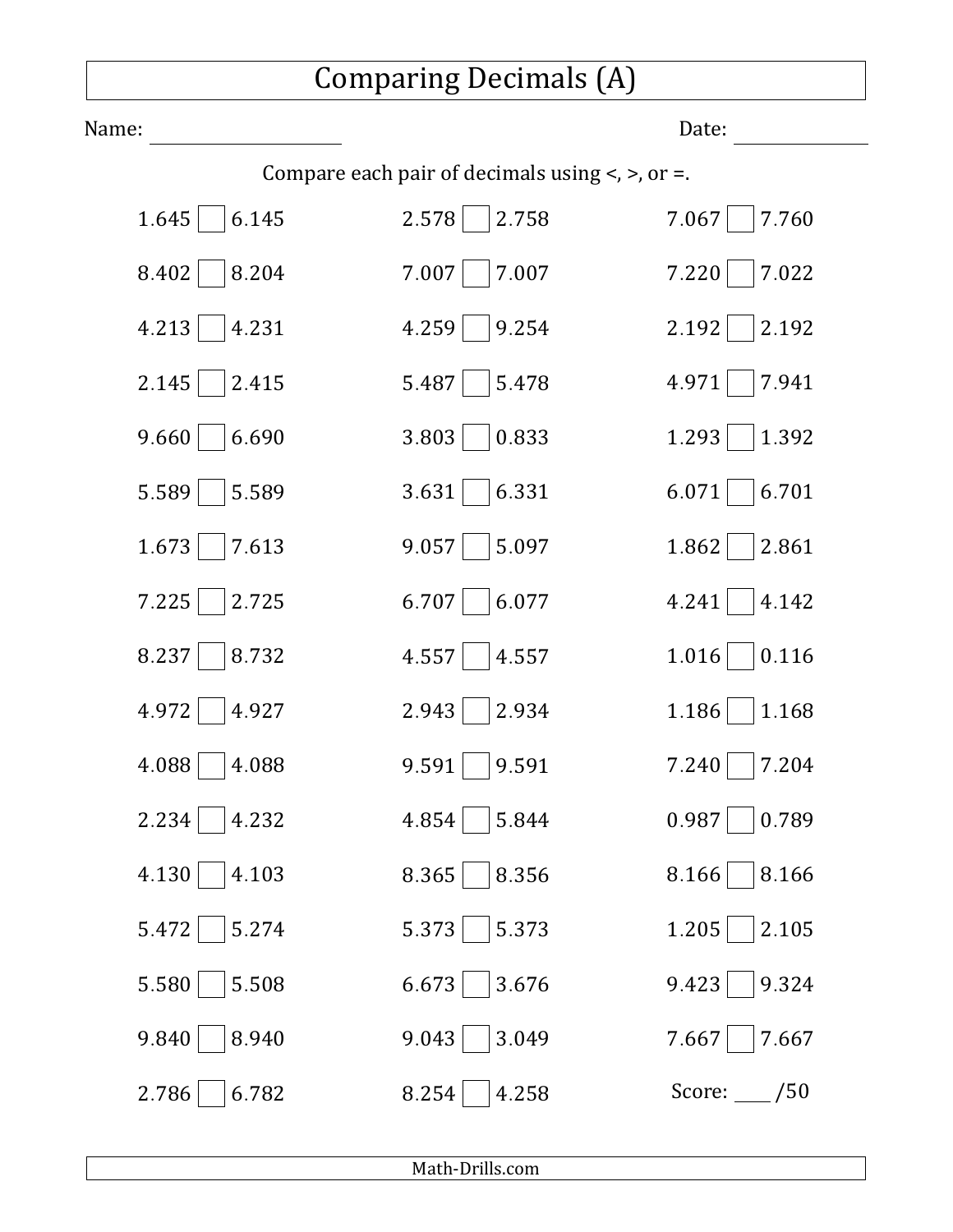## Comparing Decimals (A)

| Name:                                                          |                | Date:        |
|----------------------------------------------------------------|----------------|--------------|
| Compare each pair of decimals using $\lt$ , $\gt$ , or $\lt$ . |                |              |
| 1.645                                                          | 2.578          | 7.067        |
| 6.145                                                          | 2.758          | 7.760        |
| 8.402                                                          | 7.007          | 7.220        |
| 8.204                                                          | 7.007          | 7.022        |
| 4.213                                                          | 4.259          | 2.192        |
| 4.231                                                          | 9.254          | 2.192        |
| 2.145                                                          | 5.487          | 4.971        |
| 2.415                                                          | 5.478          | 7.941        |
| 9.660                                                          | 0.833          | 1.293        |
| 6.690                                                          | 3.803          | 1.392        |
| 5.589                                                          | 6.331          | 6.701        |
| 5.589                                                          | 3.631          | 6.071        |
| 1.673                                                          | 9.057          | 1.862        |
| 7.613                                                          | 5.097          | 2.861        |
| 7.225                                                          | 6.707          | 4.241        |
| 2.725                                                          | 6.077          | 4.142        |
| 8.237                                                          | 4.557          | 1.016        |
| 8.732                                                          | 4.557          | 0.116        |
| 4.972                                                          | 2.943          | 1.186        |
| 4.927                                                          | 2.934          | 1.168        |
| 4.088                                                          | 9.591          | 7.240        |
| 4.088                                                          | 9.591          | 7.204        |
| 2.234                                                          | 4.854          | 0.987        |
| 4.232                                                          | 5.844          | 0.789        |
| 4.130                                                          | 8.356          | 8.166        |
| 4.103                                                          | 8.365          | 8.166        |
| 5.472                                                          | 5.373          | 1.205        |
| 5.274                                                          | 5.373          | 2.105        |
| 5.580                                                          | 6.673          | 9.324        |
| 5.508                                                          | 3.676          | 9.423        |
| 9.840                                                          | 3.049          | 7.667        |
| 8.940                                                          | 9.043          | 7.667        |
| 2.786<br>6.782                                                 | 4.258<br>8.254 | Score: $/50$ |

Math‑Drills.com